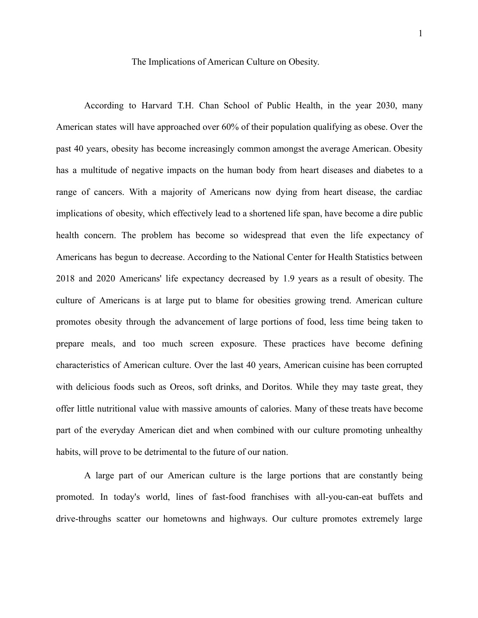## The Implications of American Culture on Obesity.

According to Harvard T.H. Chan School of Public Health, in the year 2030, many American states will have approached over 60% of their population qualifying as obese. Over the past 40 years, obesity has become increasingly common amongst the average American. Obesity has a multitude of negative impacts on the human body from heart diseases and diabetes to a range of cancers. With a majority of Americans now dying from heart disease, the cardiac implications of obesity, which effectively lead to a shortened life span, have become a dire public health concern. The problem has become so widespread that even the life expectancy of Americans has begun to decrease. According to the National Center for Health Statistics between 2018 and 2020 Americans' life expectancy decreased by 1.9 years as a result of obesity. The culture of Americans is at large put to blame for obesities growing trend. American culture promotes obesity through the advancement of large portions of food, less time being taken to prepare meals, and too much screen exposure. These practices have become defining characteristics of American culture. Over the last 40 years, American cuisine has been corrupted with delicious foods such as Oreos, soft drinks, and Doritos. While they may taste great, they offer little nutritional value with massive amounts of calories. Many of these treats have become part of the everyday American diet and when combined with our culture promoting unhealthy habits, will prove to be detrimental to the future of our nation.

A large part of our American culture is the large portions that are constantly being promoted. In today's world, lines of fast-food franchises with all-you-can-eat buffets and drive-throughs scatter our hometowns and highways. Our culture promotes extremely large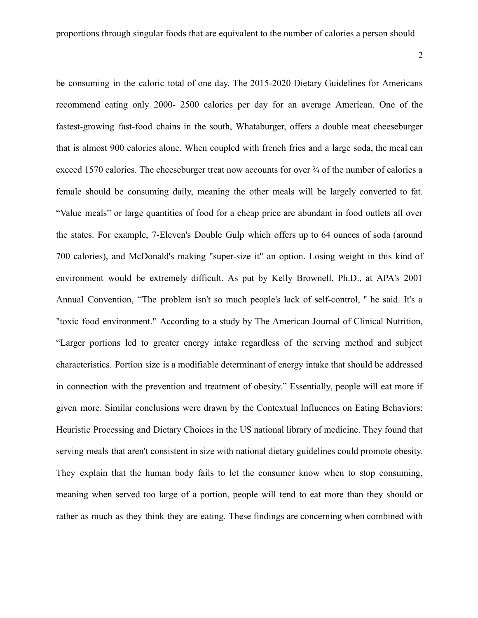be consuming in the caloric total of one day. The 2015-2020 Dietary Guidelines for Americans recommend eating only 2000- 2500 calories per day for an average American. One of the fastest-growing fast-food chains in the south, Whataburger, offers a double meat cheeseburger that is almost 900 calories alone. When coupled with french fries and a large soda, the meal can exceed 1570 calories. The cheeseburger treat now accounts for over ¾ of the number of calories a female should be consuming daily, meaning the other meals will be largely converted to fat. "Value meals" or large quantities of food for a cheap price are abundant in food outlets all over the states. For example, 7-Eleven's Double Gulp which offers up to 64 ounces of soda (around 700 calories), and McDonald's making "super-size it" an option. Losing weight in this kind of environment would be extremely difficult. As put by Kelly Brownell, Ph.D., at APA's 2001 Annual Convention, "The problem isn't so much people's lack of self-control, '' he said. It's a "toxic food environment." According to a study by The American Journal of Clinical Nutrition, "Larger portions led to greater energy intake regardless of the serving method and subject characteristics. Portion size is a modifiable determinant of energy intake that should be addressed in connection with the prevention and treatment of obesity." Essentially, people will eat more if given more. Similar conclusions were drawn by the Contextual Influences on Eating Behaviors: Heuristic Processing and Dietary Choices in the US national library of medicine. They found that serving meals that aren't consistent in size with national dietary guidelines could promote obesity. They explain that the human body fails to let the consumer know when to stop consuming, meaning when served too large of a portion, people will tend to eat more than they should or rather as much as they think they are eating. These findings are concerning when combined with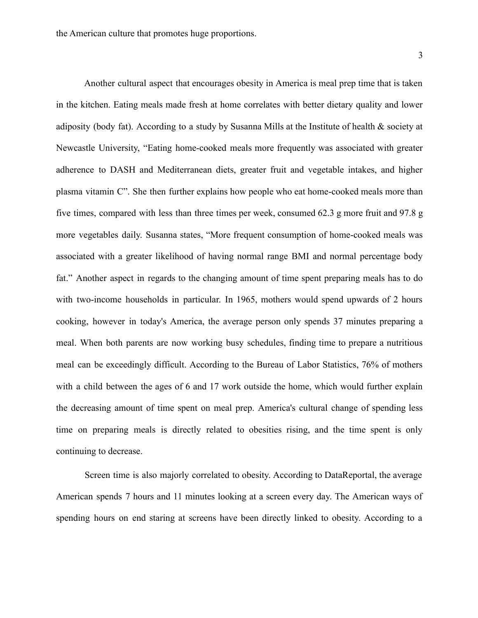3

Another cultural aspect that encourages obesity in America is meal prep time that is taken in the kitchen. Eating meals made fresh at home correlates with better dietary quality and lower adiposity (body fat). According to a study by Susanna Mills at the Institute of health & society at Newcastle University, "Eating home-cooked meals more frequently was associated with greater adherence to DASH and Mediterranean diets, greater fruit and vegetable intakes, and higher plasma vitamin C". She then further explains how people who eat home-cooked meals more than five times, compared with less than three times per week, consumed 62.3 g more fruit and 97.8 g more vegetables daily. Susanna states, "More frequent consumption of home-cooked meals was associated with a greater likelihood of having normal range BMI and normal percentage body fat." Another aspect in regards to the changing amount of time spent preparing meals has to do with two-income households in particular. In 1965, mothers would spend upwards of 2 hours cooking, however in today's America, the average person only spends 37 minutes preparing a meal. When both parents are now working busy schedules, finding time to prepare a nutritious meal can be exceedingly difficult. According to the Bureau of Labor Statistics, 76% of mothers with a child between the ages of 6 and 17 work outside the home, which would further explain the decreasing amount of time spent on meal prep. America's cultural change of spending less time on preparing meals is directly related to obesities rising, and the time spent is only continuing to decrease.

Screen time is also majorly correlated to obesity. According to DataReportal, the average American spends 7 hours and 11 minutes looking at a screen every day. The American ways of spending hours on end staring at screens have been directly linked to obesity. According to a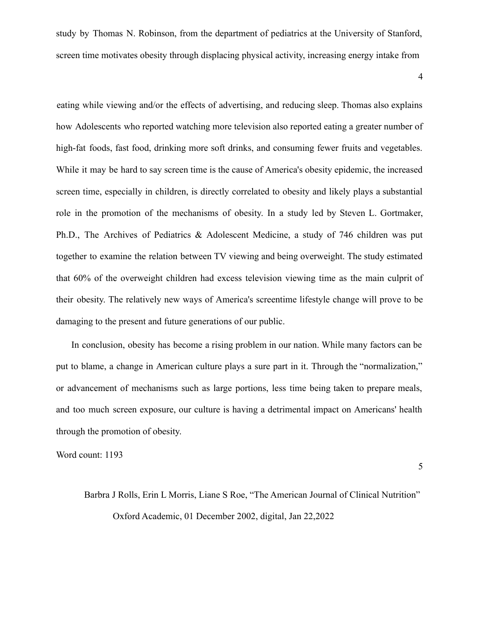study by Thomas N. Robinson, from the department of pediatrics at the University of Stanford, screen time motivates obesity through displacing physical activity, increasing energy intake from

4

eating while viewing and/or the effects of advertising, and reducing sleep. Thomas also explains how Adolescents who reported watching more television also reported eating a greater number of high-fat foods, fast food, drinking more soft drinks, and consuming fewer fruits and vegetables. While it may be hard to say screen time is the cause of America's obesity epidemic, the increased screen time, especially in children, is directly correlated to obesity and likely plays a substantial role in the promotion of the mechanisms of obesity. In a study led by Steven L. Gortmaker, Ph.D., The Archives of Pediatrics & Adolescent Medicine, a study of 746 children was put together to examine the relation between TV viewing and being overweight. The study estimated that 60% of the overweight children had excess television viewing time as the main culprit of their obesity. The relatively new ways of America's screentime lifestyle change will prove to be damaging to the present and future generations of our public.

In conclusion, obesity has become a rising problem in our nation. While many factors can be put to blame, a change in American culture plays a sure part in it. Through the "normalization," or advancement of mechanisms such as large portions, less time being taken to prepare meals, and too much screen exposure, our culture is having a detrimental impact on Americans' health through the promotion of obesity.

Word count: 1193

5

## Barbra J Rolls, Erin L Morris, Liane S Roe, "The American Journal of Clinical Nutrition" Oxford Academic, 01 December 2002, digital, Jan 22,2022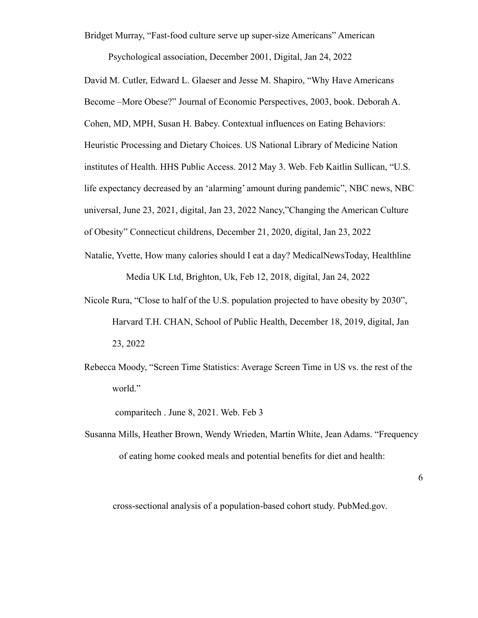Bridget Murray, "Fast-food culture serve up super-size Americans" American

Psychological association, December 2001, Digital, Jan 24, 2022

David M. Cutler, Edward L. Glaeser and Jesse M. Shapiro, "Why Have Americans Become –More Obese?" Journal of Economic Perspectives, 2003, book. Deborah A. Cohen, MD, MPH, Susan H. Babey. Contextual influences on Eating Behaviors: Heuristic Processing and Dietary Choices. US National Library of Medicine Nation institutes of Health. HHS Public Access. 2012 May 3. Web. Feb Kaitlin Sullican, "U.S. life expectancy decreased by an 'alarming' amount during pandemic", NBC news, NBC universal, June 23, 2021, digital, Jan 23, 2022 Nancy,"Changing the American Culture of Obesity" Connecticut childrens, December 21, 2020, digital, Jan 23, 2022

- Natalie, Yvette, How many calories should I eat a day? MedicalNewsToday, Healthline Media UK Ltd, Brighton, Uk, Feb 12, 2018, digital, Jan 24, 2022
- Nicole Rura, "Close to half of the U.S. population projected to have obesity by 2030", Harvard T.H. CHAN, School of Public Health, December 18, 2019, digital, Jan 23, 2022
- Rebecca Moody, "Screen Time Statistics: Average Screen Time in US vs. the rest of the world."

comparitech . June 8, 2021. Web. Feb 3

Susanna Mills, Heather Brown, Wendy Wrieden, Martin White, Jean Adams. "Frequency of eating home cooked meals and potential benefits for diet and health:

6

cross-sectional analysis of a population-based cohort study. PubMed.gov.